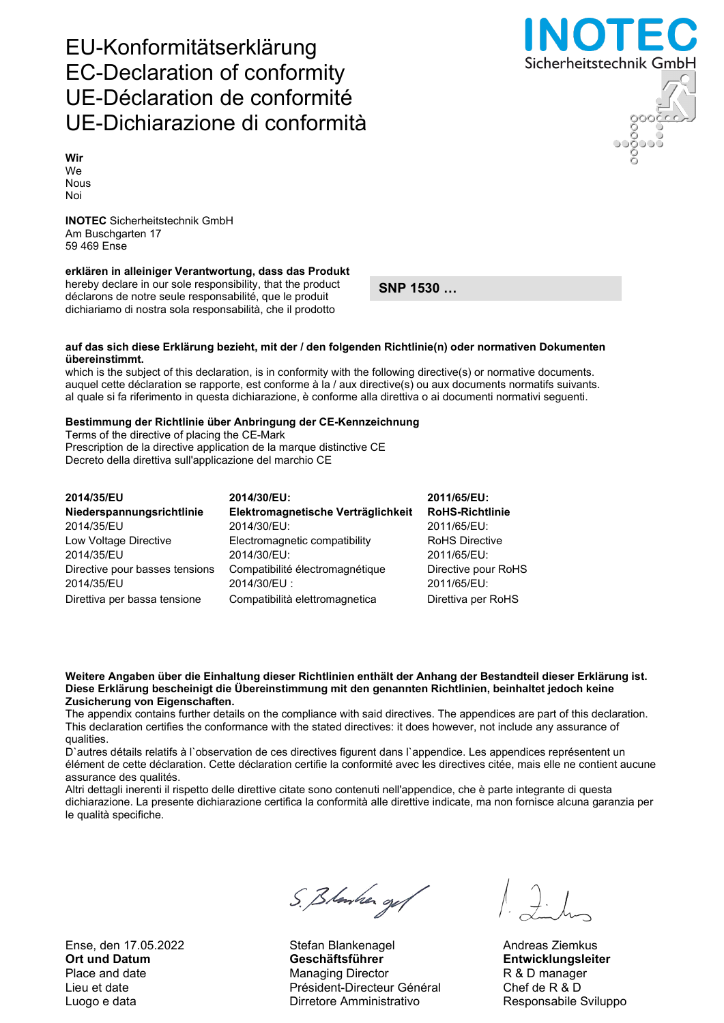Ense, den 17.05.2022 Stefan Blankenagel Andreas Ziemkus

# S. Blanker og f

Ort und Datum Geschäftsführer Entwicklungsleiter Place and date **Managing Director** R & D manager Lieu et date Président-Directeur Général Chef de R & D Luogo e data **Nicolas Construction Construction Construction** Responsabile Sviluppo

Sicherheitstechnik GmbH

## EU-Konformitätserklärung EC-Declaration of conformity UE-Déclaration de conformité UE-Dichiarazione di conformità

Wir We Nous Noi

INOTEC Sicherheitstechnik GmbH Am Buschgarten 17 59 469 Ense

### erklären in alleiniger Verantwortung, dass das Produkt

hereby declare in our sole responsibility, that the product déclarons de notre seule responsabilité, que le produit dichiariamo di nostra sola responsabilità, che il prodotto

SNP 1530 …

#### auf das sich diese Erklärung bezieht, mit der / den folgenden Richtlinie(n) oder normativen Dokumenten übereinstimmt.

which is the subject of this declaration, is in conformity with the following directive(s) or normative documents. auquel cette déclaration se rapporte, est conforme à la / aux directive(s) ou aux documents normatifs suivants. al quale si fa riferimento in questa dichiarazione, è conforme alla direttiva o ai documenti normativi seguenti.

#### Bestimmung der Richtlinie über Anbringung der CE-Kennzeichnung

Terms of the directive of placing the CE-Mark Prescription de la directive application de la marque distinctive CE Decreto della direttiva sull'applicazione del marchio CE

| 2014/35/EU                     | 2014/30/EU:                        | 2011/65/EU:            |
|--------------------------------|------------------------------------|------------------------|
| Niederspannungsrichtlinie      | Elektromagnetische Verträglichkeit | <b>RoHS-Richtlinie</b> |
| 2014/35/EU                     | 2014/30/EU:                        | 2011/65/EU:            |
| Low Voltage Directive          | Electromagnetic compatibility      | <b>RoHS Directive</b>  |
| 2014/35/EU                     | 2014/30/EU:                        | 2011/65/EU:            |
| Directive pour basses tensions | Compatibilité électromagnétique    | Directive pour RoHS    |
| 2014/35/EU                     | 2014/30/EU:                        | 2011/65/EU:            |
| Direttiva per bassa tensione   | Compatibilità elettromagnetica     | Direttiva per RoHS     |

#### Weitere Angaben über die Einhaltung dieser Richtlinien enthält der Anhang der Bestandteil dieser Erklärung ist. Diese Erklärung bescheinigt die Übereinstimmung mit den genannten Richtlinien, beinhaltet jedoch keine Zusicherung von Eigenschaften.

The appendix contains further details on the compliance with said directives. The appendices are part of this declaration. This declaration certifies the conformance with the stated directives: it does however, not include any assurance of qualities.

D`autres détails relatifs à l`observation de ces directives figurent dans l`appendice. Les appendices représentent un élément de cette déclaration. Cette déclaration certifie la conformité avec les directives citée, mais elle ne contient aucune assurance des qualités.

Altri dettagli inerenti il rispetto delle direttive citate sono contenuti nell'appendice, che è parte integrante di questa dichiarazione. La presente dichiarazione certifica la conformità alle direttive indicate, ma non fornisce alcuna garanzia per le qualità specifiche.